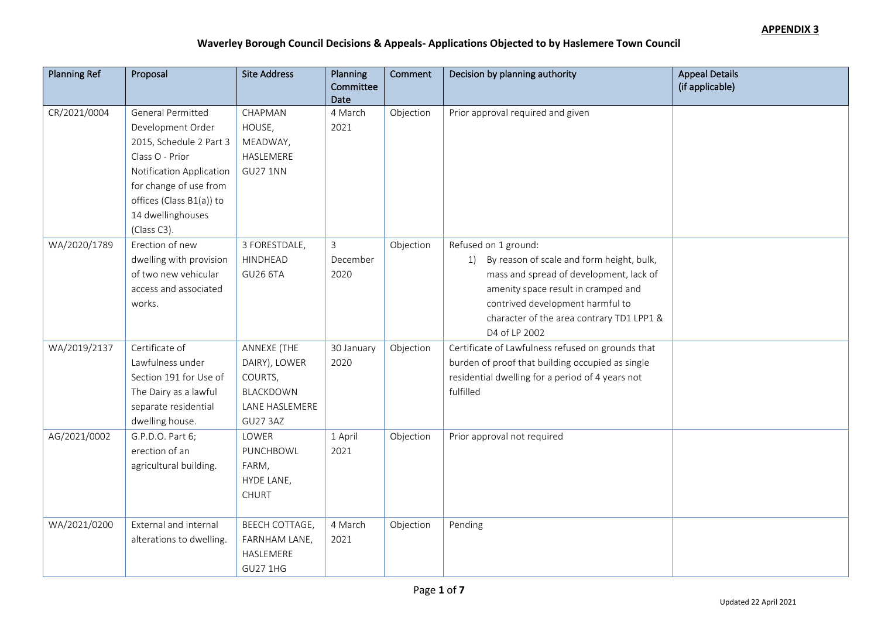| <b>Planning Ref</b> | Proposal                 | <b>Site Address</b> | Planning<br>Committee | Comment   | Decision by planning authority                    | <b>Appeal Details</b><br>(if applicable) |
|---------------------|--------------------------|---------------------|-----------------------|-----------|---------------------------------------------------|------------------------------------------|
|                     |                          |                     | Date                  |           |                                                   |                                          |
| CR/2021/0004        | General Permitted        | CHAPMAN             | 4 March               | Objection | Prior approval required and given                 |                                          |
|                     | Development Order        | HOUSE,              | 2021                  |           |                                                   |                                          |
|                     | 2015, Schedule 2 Part 3  | MEADWAY,            |                       |           |                                                   |                                          |
|                     | Class O - Prior          | HASLEMERE           |                       |           |                                                   |                                          |
|                     | Notification Application | <b>GU27 1NN</b>     |                       |           |                                                   |                                          |
|                     | for change of use from   |                     |                       |           |                                                   |                                          |
|                     | offices (Class B1(a)) to |                     |                       |           |                                                   |                                          |
|                     | 14 dwellinghouses        |                     |                       |           |                                                   |                                          |
|                     | (Class C3).              |                     |                       |           |                                                   |                                          |
| WA/2020/1789        | Erection of new          | 3 FORESTDALE,       | 3                     | Objection | Refused on 1 ground:                              |                                          |
|                     | dwelling with provision  | HINDHEAD            | December              |           | 1) By reason of scale and form height, bulk,      |                                          |
|                     | of two new vehicular     | <b>GU26 6TA</b>     | 2020                  |           | mass and spread of development, lack of           |                                          |
|                     | access and associated    |                     |                       |           | amenity space result in cramped and               |                                          |
|                     | works.                   |                     |                       |           | contrived development harmful to                  |                                          |
|                     |                          |                     |                       |           | character of the area contrary TD1 LPP1 &         |                                          |
|                     |                          |                     |                       |           | D4 of LP 2002                                     |                                          |
| WA/2019/2137        | Certificate of           | ANNEXE (THE         | 30 January            | Objection | Certificate of Lawfulness refused on grounds that |                                          |
|                     | Lawfulness under         | DAIRY), LOWER       | 2020                  |           | burden of proof that building occupied as single  |                                          |
|                     | Section 191 for Use of   | COURTS,             |                       |           | residential dwelling for a period of 4 years not  |                                          |
|                     | The Dairy as a lawful    | BLACKDOWN           |                       |           | fulfilled                                         |                                          |
|                     | separate residential     | LANE HASLEMERE      |                       |           |                                                   |                                          |
|                     | dwelling house.          | <b>GU27 3AZ</b>     |                       |           |                                                   |                                          |
| AG/2021/0002        | G.P.D.O. Part 6;         | LOWER               | 1 April               | Objection | Prior approval not required                       |                                          |
|                     | erection of an           | PUNCHBOWL           | 2021                  |           |                                                   |                                          |
|                     | agricultural building.   | FARM,               |                       |           |                                                   |                                          |
|                     |                          | HYDE LANE,          |                       |           |                                                   |                                          |
|                     |                          | <b>CHURT</b>        |                       |           |                                                   |                                          |
|                     |                          |                     |                       |           |                                                   |                                          |
| WA/2021/0200        | External and internal    | BEECH COTTAGE,      | 4 March               | Objection | Pending                                           |                                          |
|                     | alterations to dwelling. | FARNHAM LANE,       | 2021                  |           |                                                   |                                          |
|                     |                          | HASLEMERE           |                       |           |                                                   |                                          |
|                     |                          | <b>GU27 1HG</b>     |                       |           |                                                   |                                          |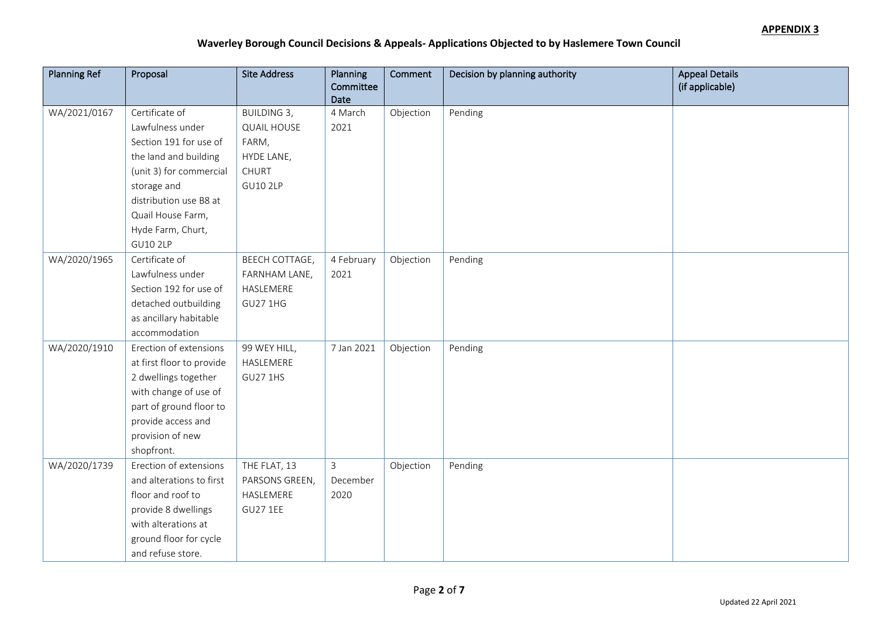| <b>Planning Ref</b> | Proposal                  | <b>Site Address</b>   | Planning          | Comment   | Decision by planning authority | <b>Appeal Details</b> |
|---------------------|---------------------------|-----------------------|-------------------|-----------|--------------------------------|-----------------------|
|                     |                           |                       | Committee<br>Date |           |                                | (if applicable)       |
| WA/2021/0167        | Certificate of            | <b>BUILDING 3,</b>    | 4 March           | Objection | Pending                        |                       |
|                     | Lawfulness under          | <b>QUAIL HOUSE</b>    | 2021              |           |                                |                       |
|                     | Section 191 for use of    | FARM,                 |                   |           |                                |                       |
|                     | the land and building     | HYDE LANE,            |                   |           |                                |                       |
|                     | (unit 3) for commercial   | CHURT                 |                   |           |                                |                       |
|                     | storage and               | <b>GU10 2LP</b>       |                   |           |                                |                       |
|                     | distribution use B8 at    |                       |                   |           |                                |                       |
|                     | Quail House Farm,         |                       |                   |           |                                |                       |
|                     | Hyde Farm, Churt,         |                       |                   |           |                                |                       |
|                     | <b>GU10 2LP</b>           |                       |                   |           |                                |                       |
| WA/2020/1965        | Certificate of            | <b>BEECH COTTAGE,</b> | 4 February        | Objection | Pending                        |                       |
|                     | Lawfulness under          | FARNHAM LANE,         | 2021              |           |                                |                       |
|                     | Section 192 for use of    | HASLEMERE             |                   |           |                                |                       |
|                     | detached outbuilding      | <b>GU27 1HG</b>       |                   |           |                                |                       |
|                     | as ancillary habitable    |                       |                   |           |                                |                       |
|                     | accommodation             |                       |                   |           |                                |                       |
| WA/2020/1910        | Erection of extensions    | 99 WEY HILL,          | 7 Jan 2021        | Objection | Pending                        |                       |
|                     | at first floor to provide | HASLEMERE             |                   |           |                                |                       |
|                     | 2 dwellings together      | <b>GU27 1HS</b>       |                   |           |                                |                       |
|                     | with change of use of     |                       |                   |           |                                |                       |
|                     | part of ground floor to   |                       |                   |           |                                |                       |
|                     | provide access and        |                       |                   |           |                                |                       |
|                     | provision of new          |                       |                   |           |                                |                       |
|                     | shopfront.                |                       |                   |           |                                |                       |
| WA/2020/1739        | Erection of extensions    | THE FLAT, 13          | 3                 | Objection | Pending                        |                       |
|                     | and alterations to first  | PARSONS GREEN,        | December          |           |                                |                       |
|                     | floor and roof to         | HASLEMERE             | 2020              |           |                                |                       |
|                     | provide 8 dwellings       | <b>GU27 1EE</b>       |                   |           |                                |                       |
|                     | with alterations at       |                       |                   |           |                                |                       |
|                     | ground floor for cycle    |                       |                   |           |                                |                       |
|                     | and refuse store.         |                       |                   |           |                                |                       |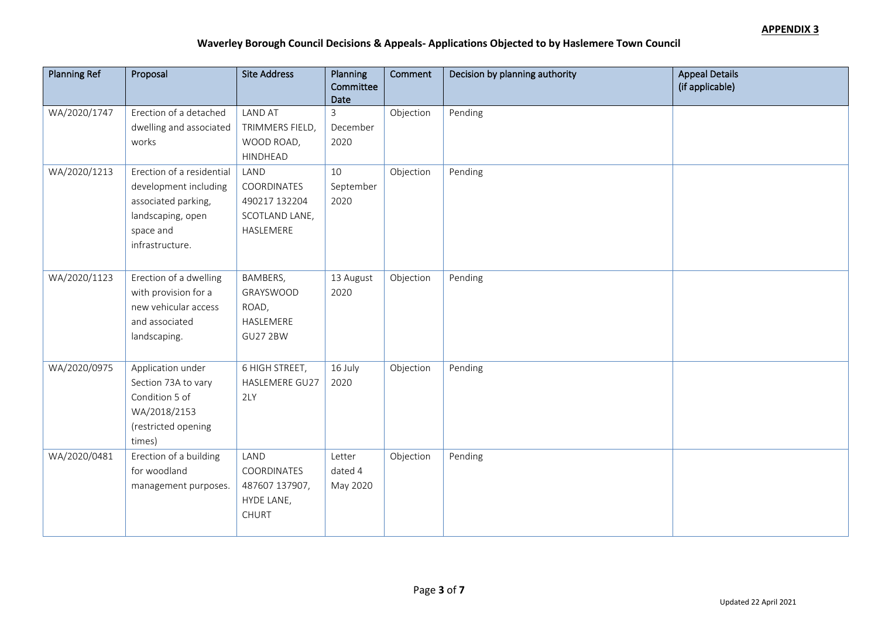| <b>Planning Ref</b> | Proposal                  | <b>Site Address</b> | Planning<br>Committee | Comment   | Decision by planning authority | <b>Appeal Details</b><br>(if applicable) |
|---------------------|---------------------------|---------------------|-----------------------|-----------|--------------------------------|------------------------------------------|
|                     |                           |                     | Date                  |           |                                |                                          |
| WA/2020/1747        | Erection of a detached    | <b>LAND AT</b>      | $\mathbf{3}$          | Objection | Pending                        |                                          |
|                     | dwelling and associated   | TRIMMERS FIELD,     | December              |           |                                |                                          |
|                     | works                     | WOOD ROAD,          | 2020                  |           |                                |                                          |
|                     |                           | HINDHEAD            |                       |           |                                |                                          |
| WA/2020/1213        | Erection of a residential | LAND                | 10                    | Objection | Pending                        |                                          |
|                     | development including     | COORDINATES         | September             |           |                                |                                          |
|                     | associated parking,       | 490217 132204       | 2020                  |           |                                |                                          |
|                     | landscaping, open         | SCOTLAND LANE,      |                       |           |                                |                                          |
|                     | space and                 | HASLEMERE           |                       |           |                                |                                          |
|                     | infrastructure.           |                     |                       |           |                                |                                          |
|                     |                           |                     |                       |           |                                |                                          |
| WA/2020/1123        | Erection of a dwelling    | BAMBERS,            | 13 August             | Objection | Pending                        |                                          |
|                     | with provision for a      | GRAYSWOOD           | 2020                  |           |                                |                                          |
|                     | new vehicular access      | ROAD,               |                       |           |                                |                                          |
|                     | and associated            | HASLEMERE           |                       |           |                                |                                          |
|                     | landscaping.              | <b>GU27 2BW</b>     |                       |           |                                |                                          |
|                     |                           |                     |                       |           |                                |                                          |
| WA/2020/0975        | Application under         | 6 HIGH STREET,      | 16 July               | Objection | Pending                        |                                          |
|                     | Section 73A to vary       | HASLEMERE GU27      | 2020                  |           |                                |                                          |
|                     | Condition 5 of            | 2LY                 |                       |           |                                |                                          |
|                     | WA/2018/2153              |                     |                       |           |                                |                                          |
|                     | (restricted opening       |                     |                       |           |                                |                                          |
|                     | times)                    |                     |                       |           |                                |                                          |
| WA/2020/0481        | Erection of a building    | LAND                | Letter                | Objection | Pending                        |                                          |
|                     | for woodland              | COORDINATES         | dated 4               |           |                                |                                          |
|                     | management purposes.      | 487607 137907,      | May 2020              |           |                                |                                          |
|                     |                           | HYDE LANE,          |                       |           |                                |                                          |
|                     |                           | <b>CHURT</b>        |                       |           |                                |                                          |
|                     |                           |                     |                       |           |                                |                                          |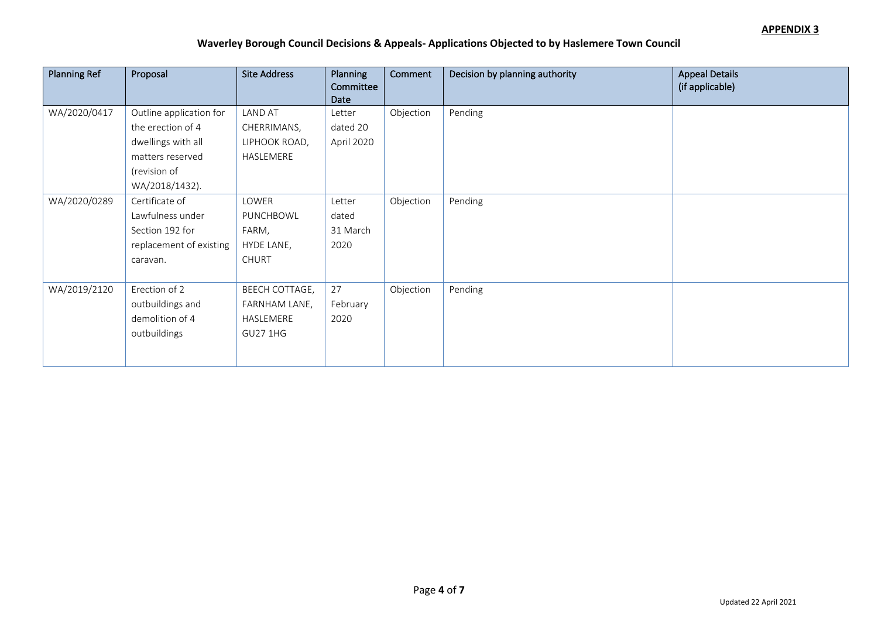| <b>Planning Ref</b> | Proposal                                                                                                                 | <b>Site Address</b>                                             | Planning<br>Committee<br>Date       | Comment   | Decision by planning authority | <b>Appeal Details</b><br>(if applicable) |
|---------------------|--------------------------------------------------------------------------------------------------------------------------|-----------------------------------------------------------------|-------------------------------------|-----------|--------------------------------|------------------------------------------|
| WA/2020/0417        | Outline application for<br>the erection of 4<br>dwellings with all<br>matters reserved<br>(revision of<br>WA/2018/1432). | <b>LAND AT</b><br>CHERRIMANS,<br>LIPHOOK ROAD,<br>HASLEMERE     | Letter<br>dated 20<br>April 2020    | Objection | Pending                        |                                          |
| WA/2020/0289        | Certificate of<br>Lawfulness under<br>Section 192 for<br>replacement of existing<br>caravan.                             | LOWER<br>PUNCHBOWL<br>FARM,<br>HYDE LANE,<br><b>CHURT</b>       | Letter<br>dated<br>31 March<br>2020 | Objection | Pending                        |                                          |
| WA/2019/2120        | Erection of 2<br>outbuildings and<br>demolition of 4<br>outbuildings                                                     | BEECH COTTAGE,<br>FARNHAM LANE,<br>HASLEMERE<br><b>GU27 1HG</b> | 27<br>February<br>2020              | Objection | Pending                        |                                          |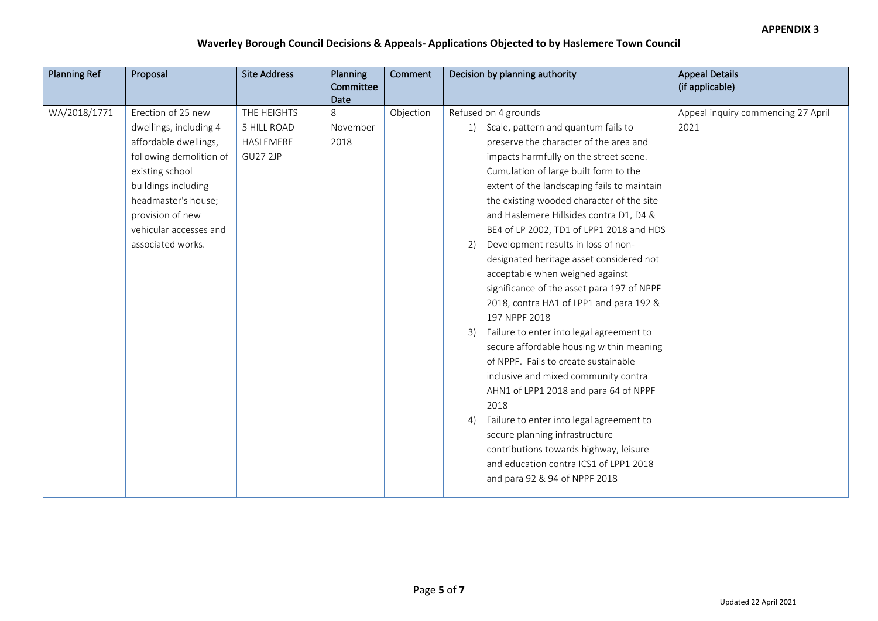| <b>Planning Ref</b> | Proposal                                                                                                                                                                                                                             | <b>Site Address</b>                                               | <b>Planning</b>          | Comment   | Decision by planning authority                                                                                                                                                                                                                                                                                                                                                                                              | <b>Appeal Details</b>                      |
|---------------------|--------------------------------------------------------------------------------------------------------------------------------------------------------------------------------------------------------------------------------------|-------------------------------------------------------------------|--------------------------|-----------|-----------------------------------------------------------------------------------------------------------------------------------------------------------------------------------------------------------------------------------------------------------------------------------------------------------------------------------------------------------------------------------------------------------------------------|--------------------------------------------|
|                     |                                                                                                                                                                                                                                      |                                                                   | Committee<br><b>Date</b> |           |                                                                                                                                                                                                                                                                                                                                                                                                                             | (if applicable)                            |
| WA/2018/1771        | Erection of 25 new<br>dwellings, including 4<br>affordable dwellings,<br>following demolition of<br>existing school<br>buildings including<br>headmaster's house;<br>provision of new<br>vehicular accesses and<br>associated works. | THE HEIGHTS<br><b>5 HILL ROAD</b><br>HASLEMERE<br><b>GU27 2JP</b> | 8<br>November<br>2018    | Objection | Refused on 4 grounds<br>1) Scale, pattern and quantum fails to<br>preserve the character of the area and<br>impacts harmfully on the street scene.<br>Cumulation of large built form to the<br>extent of the landscaping fails to maintain<br>the existing wooded character of the site<br>and Haslemere Hillsides contra D1, D4 &<br>BE4 of LP 2002, TD1 of LPP1 2018 and HDS<br>Development results in loss of non-<br>2) | Appeal inquiry commencing 27 April<br>2021 |
|                     |                                                                                                                                                                                                                                      |                                                                   |                          |           | designated heritage asset considered not<br>acceptable when weighed against<br>significance of the asset para 197 of NPPF<br>2018, contra HA1 of LPP1 and para 192 &<br>197 NPPF 2018<br>Failure to enter into legal agreement to<br>3)<br>secure affordable housing within meaning<br>of NPPF. Fails to create sustainable<br>inclusive and mixed community contra<br>AHN1 of LPP1 2018 and para 64 of NPPF<br>2018        |                                            |
|                     |                                                                                                                                                                                                                                      |                                                                   |                          |           | Failure to enter into legal agreement to<br>4)<br>secure planning infrastructure<br>contributions towards highway, leisure<br>and education contra ICS1 of LPP1 2018<br>and para 92 & 94 of NPPF 2018                                                                                                                                                                                                                       |                                            |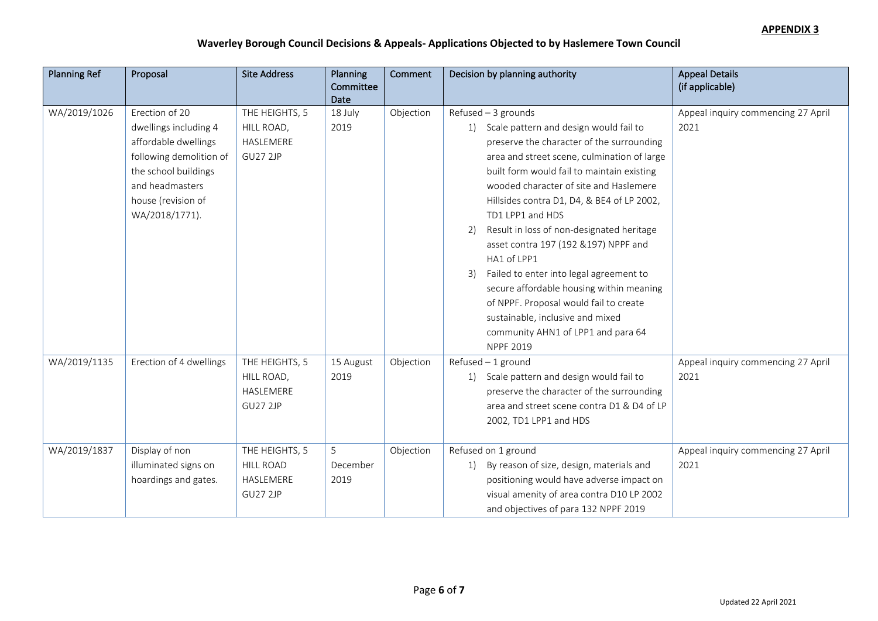| <b>Planning Ref</b> | Proposal                                                                                                                                                                      | <b>Site Address</b>                                                | Planning                | Comment   | Decision by planning authority                                                                                                                                                                                                                                                                                                                                                                                                                                                                                                                                                                                                                                          | <b>Appeal Details</b>                      |
|---------------------|-------------------------------------------------------------------------------------------------------------------------------------------------------------------------------|--------------------------------------------------------------------|-------------------------|-----------|-------------------------------------------------------------------------------------------------------------------------------------------------------------------------------------------------------------------------------------------------------------------------------------------------------------------------------------------------------------------------------------------------------------------------------------------------------------------------------------------------------------------------------------------------------------------------------------------------------------------------------------------------------------------------|--------------------------------------------|
|                     |                                                                                                                                                                               |                                                                    | Committee               |           |                                                                                                                                                                                                                                                                                                                                                                                                                                                                                                                                                                                                                                                                         | (if applicable)                            |
| WA/2019/1026        | Erection of 20<br>dwellings including 4<br>affordable dwellings<br>following demolition of<br>the school buildings<br>and headmasters<br>house (revision of<br>WA/2018/1771). | THE HEIGHTS, 5<br>HILL ROAD,<br>HASLEMERE<br><b>GU27 2JP</b>       | Date<br>18 July<br>2019 | Objection | Refused $-3$ grounds<br>1) Scale pattern and design would fail to<br>preserve the character of the surrounding<br>area and street scene, culmination of large<br>built form would fail to maintain existing<br>wooded character of site and Haslemere<br>Hillsides contra D1, D4, & BE4 of LP 2002,<br>TD1 LPP1 and HDS<br>Result in loss of non-designated heritage<br>2)<br>asset contra 197 (192 & 197) NPPF and<br>HA1 of LPP1<br>Failed to enter into legal agreement to<br>3)<br>secure affordable housing within meaning<br>of NPPF. Proposal would fail to create<br>sustainable, inclusive and mixed<br>community AHN1 of LPP1 and para 64<br><b>NPPF 2019</b> | Appeal inquiry commencing 27 April<br>2021 |
| WA/2019/1135        | Erection of 4 dwellings                                                                                                                                                       | THE HEIGHTS, 5<br>HILL ROAD,<br>HASLEMERE<br><b>GU27 2JP</b>       | 15 August<br>2019       | Objection | $Refused - 1$ ground<br>1) Scale pattern and design would fail to<br>preserve the character of the surrounding<br>area and street scene contra D1 & D4 of LP<br>2002, TD1 LPP1 and HDS                                                                                                                                                                                                                                                                                                                                                                                                                                                                                  | Appeal inquiry commencing 27 April<br>2021 |
| WA/2019/1837        | Display of non<br>illuminated signs on<br>hoardings and gates.                                                                                                                | THE HEIGHTS, 5<br><b>HILL ROAD</b><br>HASLEMERE<br><b>GU27 2JP</b> | 5<br>December<br>2019   | Objection | Refused on 1 ground<br>By reason of size, design, materials and<br><sup>1</sup><br>positioning would have adverse impact on<br>visual amenity of area contra D10 LP 2002<br>and objectives of para 132 NPPF 2019                                                                                                                                                                                                                                                                                                                                                                                                                                                        | Appeal inquiry commencing 27 April<br>2021 |